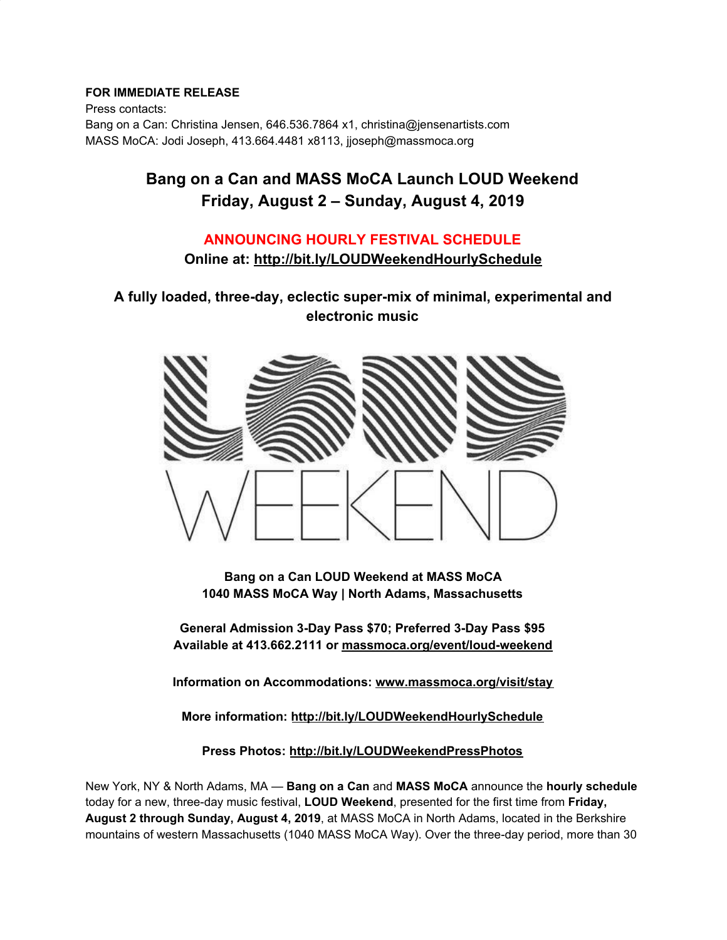#### **FOR IMMEDIATE RELEASE**

Press contacts: Bang on a Can: Christina Jensen, 646.536.7864 x1, christina@jensenartists.com MASS MoCA: Jodi Joseph, 413.664.4481 x8113, jjoseph@massmoca.org

## **Bang on a Can and MASS MoCA Launch LOUD Weekend Friday, August 2 – Sunday, August 4, 2019**

### **ANNOUNCING HOURLY FESTIVAL SCHEDULE**

**Online at: [http://bit.ly/LOUDWeekendHourlySchedule](https://u7061146.ct.sendgrid.net/wf/click?upn=v19UDW8FsixrCS-2Fm9-2By91L1C4cpDgZheRGtqtn4VhYJK49aABrlLHsYOJImX-2Bpt6_DruDjhchMBr5xQkz3h1qcOnjZc-2BCsAVhraQ7DxYhbA2-2BHLQf-2BHKWaWi2FTM7QHo-2Fd7eCMDRMAhfd2mcWSs-2FpzNW9MmuPwV7rH-2FbDd7DdSSZYHWAqH2JGGQu188fxWQAUPobmy6wMwj34BpEPkVClOJhRL4O9Y3UcQn0a6r7738LeW-2Fcal-2F1z2apgTo7mRfAtNYwMxyie8Bh6vyyo8o0eLjpa-2B4bOBPaGCmk8A8WOcJ-2FYQ507q48oQd61Tzy7-2BEGOd0r5VVpDKqMP-2Bn2J7NDlcI0GlB4CEKnjL1zhWwzRk9a38EaZid4QZvJw6DZQJ73iy67eCjhEpq8JuUYoeYE-2Fyrw-2BntlBVTt8cIQLuaZ0JOs-3D)**

**A fully loaded, three-day, eclectic super-mix of minimal, experimental and electronic music**



**Bang on a Can LOUD Weekend at MASS MoCA 1040 MASS MoCA Way | North Adams, Massachusetts**

**General Admission 3-Day Pass \$70; Preferred 3-Day Pass \$95 Available at 413.662.2111 or [massmoca.org/event/loud-weekend](https://u7061146.ct.sendgrid.net/wf/click?upn=G62jSYfZdO-2F12d8lSllQBxdRkHjDpcYYjjTr6p4A9oU7AcA3Wv8ZOTmjgHb5rOxZ_DruDjhchMBr5xQkz3h1qcOnjZc-2BCsAVhraQ7DxYhbA2-2BHLQf-2BHKWaWi2FTM7QHo-2Fd7eCMDRMAhfd2mcWSs-2FpzNW9MmuPwV7rH-2FbDd7DdSSZYHWAqH2JGGQu188fxWQAUPobmy6wMwj34BpEPkVClOJhRL4O9Y3UcQn0a6r7738LeW-2Fcal-2F1z2apgTo7mRfAtNYwMxyie8Bh6vyyo8o0eLmEgFUkeC106VXTK9ZlCBZ12keI8iJtL-2BBM46OMgOa2peJJMvdNoG7-2BKgwso-2BTPGY0XKLrT-2Fk0-2BTr8wcC2IC-2BmEY-2BO-2FlmOOwrIbv-2FRutlhyNdhjVMWBR3jiZVCeja6TOiHETCDQOk6rcjDMFkIhGA8E-3D)**

**Information on Accommodations: [www.massmoca.org/visit/stay](https://u7061146.ct.sendgrid.net/wf/click?upn=84Em28S1K9SvtzcUtu04EsrAbKaJl1UzSO0njvbxMXHPv-2BIMh3sNU6SteNgPhfjg_DruDjhchMBr5xQkz3h1qcOnjZc-2BCsAVhraQ7DxYhbA2-2BHLQf-2BHKWaWi2FTM7QHo-2Fd7eCMDRMAhfd2mcWSs-2FpzNW9MmuPwV7rH-2FbDd7DdSSZYHWAqH2JGGQu188fxWQAUPobmy6wMwj34BpEPkVClOJhRL4O9Y3UcQn0a6r7738LeW-2Fcal-2F1z2apgTo7mRfAtNYwMxyie8Bh6vyyo8o0eLoxvMy5napKd-2F-2FZ7yOT0HC7SWT-2BYfOZB7A28yIeQFB846iuWPxKS5f4LTN9YfWu5qf1b-2Fzic3VE-2BBd5AGVTk2IKWimImI-2Fn-2FKICQuMkxHIX7FO9aTZITK969VNflYUH-2Fa9PRLH-2FNAHSKaYTpXC-2FNQOQ-3D)**

**More information: [http://bit.ly/LOUDWeekendHourlySchedule](https://u7061146.ct.sendgrid.net/wf/click?upn=v19UDW8FsixrCS-2Fm9-2By91L1C4cpDgZheRGtqtn4VhYJK49aABrlLHsYOJImX-2Bpt6_DruDjhchMBr5xQkz3h1qcOnjZc-2BCsAVhraQ7DxYhbA2-2BHLQf-2BHKWaWi2FTM7QHo-2Fd7eCMDRMAhfd2mcWSs-2FpzNW9MmuPwV7rH-2FbDd7DdSSZYHWAqH2JGGQu188fxWQAUPobmy6wMwj34BpEPkVClOJhRL4O9Y3UcQn0a6r7738LeW-2Fcal-2F1z2apgTo7mRfAtNYwMxyie8Bh6vyyo8o0eLsgZ8hSexn0Z3v3db5Ch1fJWBHBrN9Q3u8cgv65Z0hwWyUjFc-2Bce4TkgLUOiT-2BG1IlRIhOcNOXz8XzByxtyZOQet3BqOqtRtgIhNyuxGHzOm7zz9BGlvPXZqjHOtuI7PlxD4jiRqAgqgSVUCLyL1Zqg-3D)**

**Press Photos: [http://bit.ly/LOUDWeekendPressPhotos](https://u7061146.ct.sendgrid.net/wf/click?upn=v19UDW8FsixrCS-2Fm9-2By91L1C4cpDgZheRGtqtn4VhYJuFLhuE6HImLexXpNCiNoF_DruDjhchMBr5xQkz3h1qcOnjZc-2BCsAVhraQ7DxYhbA2-2BHLQf-2BHKWaWi2FTM7QHo-2Fd7eCMDRMAhfd2mcWSs-2FpzNW9MmuPwV7rH-2FbDd7DdSSZYHWAqH2JGGQu188fxWQAUPobmy6wMwj34BpEPkVClOJhRL4O9Y3UcQn0a6r7738LeW-2Fcal-2F1z2apgTo7mRfAtNYwMxyie8Bh6vyyo8o0eLodjwrqd-2FMr6EeKHkWdByKVyvICf9q8itr5d5dgcKNiBHkSNg5f0QpImbykMNUYol5pskeCfS6ufbtOAXReTsWxTQA926pu2xLq3x93zUcMpWw58P-2Fx2d4V-2FqGg5erZTxGbN7p38-2FsFFuaGDaBdTquk-3D)**

New York, NY & North Adams, MA — **Bang on a Can** and **MASS MoCA** announce the **hourly schedule** today for a new, three-day music festival, **LOUD Weekend**, presented for the first time from **Friday, August 2 through Sunday, August 4, 2019**, at MASS MoCA in North Adams, located in the Berkshire mountains of western Massachusetts (1040 MASS MoCA Way). Over the three-day period, more than 30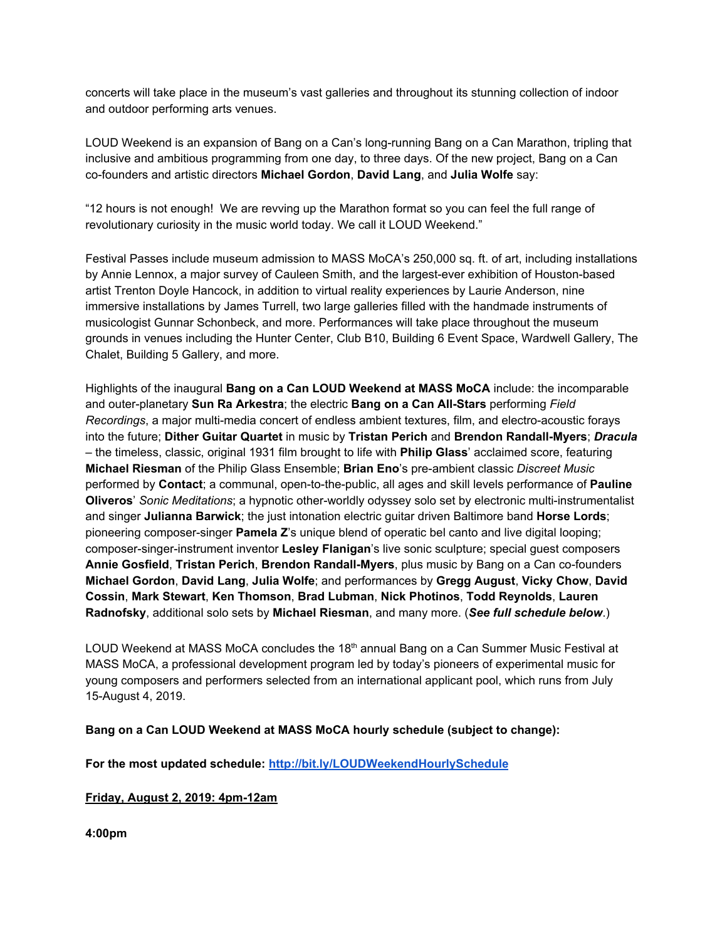concerts will take place in the museum's vast galleries and throughout its stunning collection of indoor and outdoor performing arts venues.

LOUD Weekend is an expansion of Bang on a Can's long-running Bang on a Can Marathon, tripling that inclusive and ambitious programming from one day, to three days. Of the new project, Bang on a Can co-founders and artistic directors **Michael Gordon**, **David Lang**, and **Julia Wolfe** say:

"12 hours is not enough! We are revving up the Marathon format so you can feel the full range of revolutionary curiosity in the music world today. We call it LOUD Weekend."

Festival Passes include museum admission to MASS MoCA's 250,000 sq. ft. of art, including installations by Annie Lennox, a major survey of Cauleen Smith, and the largest-ever exhibition of Houston-based artist Trenton Doyle Hancock, in addition to virtual reality experiences by Laurie Anderson, nine immersive installations by James Turrell, two large galleries filled with the handmade instruments of musicologist Gunnar Schonbeck, and more. Performances will take place throughout the museum grounds in venues including the Hunter Center, Club B10, Building 6 Event Space, Wardwell Gallery, The Chalet, Building 5 Gallery, and more.

Highlights of the inaugural **Bang on a Can LOUD Weekend at MASS MoCA** include: the incomparable and outer-planetary **Sun Ra Arkestra**; the electric **Bang on a Can All-Stars** performing *Field Recordings*, a major multi-media concert of endless ambient textures, film, and electro-acoustic forays into the future; **Dither Guitar Quartet** in music by **Tristan Perich** and **Brendon Randall-Myers**; *Dracula* – the timeless, classic, original 1931 film brought to life with **Philip Glass**' acclaimed score, featuring **Michael Riesman** of the Philip Glass Ensemble; **Brian Eno**'s pre-ambient classic *Discreet Music* performed by **Contact**; a communal, open-to-the-public, all ages and skill levels performance of **Pauline Oliveros**' *Sonic Meditations*; a hypnotic other-worldly odyssey solo set by electronic multi-instrumentalist and singer **Julianna Barwick**; the just intonation electric guitar driven Baltimore band **Horse Lords**; pioneering composer-singer **Pamela Z**'s unique blend of operatic bel canto and live digital looping; composer-singer-instrument inventor **Lesley Flanigan**'s live sonic sculpture; special guest composers **Annie Gosfield**, **Tristan Perich**, **Brendon Randall-Myers**, plus music by Bang on a Can co-founders **Michael Gordon**, **David Lang**, **Julia Wolfe**; and performances by **Gregg August**, **Vicky Chow**, **David Cossin**, **Mark Stewart**, **Ken Thomson**, **Brad Lubman**, **Nick Photinos**, **Todd Reynolds**, **Lauren Radnofsky**, additional solo sets by **Michael Riesman**, and many more. (*See full schedule below*.)

LOUD Weekend at MASS MoCA concludes the 18<sup>th</sup> annual Bang on a Can Summer Music Festival at MASS MoCA, a professional development program led by today's pioneers of experimental music for young composers and performers selected from an international applicant pool, which runs from July 15-August 4, 2019.

#### **Bang on a Can LOUD Weekend at MASS MoCA hourly schedule (subject to change):**

**For the most updated schedule: [http://bit.ly/LOUDWeekendHourlySchedule](https://u7061146.ct.sendgrid.net/wf/click?upn=v19UDW8FsixrCS-2Fm9-2By91L1C4cpDgZheRGtqtn4VhYJK49aABrlLHsYOJImX-2Bpt6_DruDjhchMBr5xQkz3h1qcOnjZc-2BCsAVhraQ7DxYhbA2-2BHLQf-2BHKWaWi2FTM7QHo-2Fd7eCMDRMAhfd2mcWSs-2FpzNW9MmuPwV7rH-2FbDd7DdSSZYHWAqH2JGGQu188fxWQAUPobmy6wMwj34BpEPkVClOJhRL4O9Y3UcQn0a6r7738LeW-2Fcal-2F1z2apgTo7mRfAtNYwMxyie8Bh6vyyo8o0eLgh3z7HxgyPdxsNzzFMkrRZXH4QliyxkIl8Xd-2B8t3t4CdXkuE7plxZhOealJhFBlhpL5RmTUUQumAZTAaPCtnY5JSfGOUtcL47Xq-2FjzgBIyn7Yzab7GV2CaYzq8eLtpcbpqtTklgwsZ3gKkrq5jmCVY-3D)**

**Friday, August 2, 2019: 4pm-12am**

**4:00pm**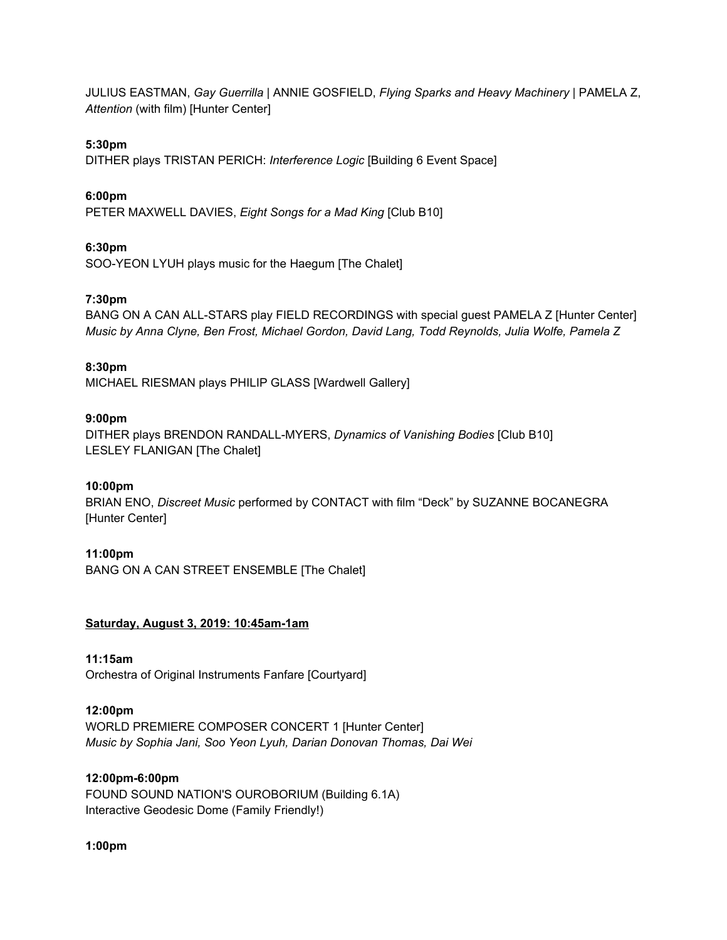JULIUS EASTMAN, *Gay Guerrilla* | ANNIE GOSFIELD, *Flying Sparks and Heavy Machinery* | PAMELA Z, *Attention* (with film) [Hunter Center]

#### **5:30pm**

DITHER plays TRISTAN PERICH: *Interference Logic* [Building 6 Event Space]

#### **6:00pm**

PETER MAXWELL DAVIES, *Eight Songs for a Mad King* [Club B10]

#### **6:30pm**

SOO-YEON LYUH plays music for the Haegum [The Chalet]

#### **7:30pm**

BANG ON A CAN ALL-STARS play FIELD RECORDINGS with special guest PAMELA Z [Hunter Center] *Music by Anna Clyne, Ben Frost, Michael Gordon, David Lang, Todd Reynolds, Julia Wolfe, Pamela Z*

#### **8:30pm**

MICHAEL RIESMAN plays PHILIP GLASS [Wardwell Gallery]

#### **9:00pm**

DITHER plays BRENDON RANDALL-MYERS, *Dynamics of Vanishing Bodies* [Club B10] LESLEY FLANIGAN [The Chalet]

#### **10:00pm**

BRIAN ENO, *Discreet Music* performed by CONTACT with film "Deck" by SUZANNE BOCANEGRA [Hunter Center]

#### **11:00pm**

BANG ON A CAN STREET ENSEMBLE [The Chalet]

#### **Saturday, August 3, 2019: 10:45am-1am**

**11:15am** Orchestra of Original Instruments Fanfare [Courtyard]

# **12:00pm**

WORLD PREMIERE COMPOSER CONCERT 1 [Hunter Center] *Music by Sophia Jani, Soo Yeon Lyuh, Darian Donovan Thomas, Dai Wei*

#### **12:00pm-6:00pm**

FOUND SOUND NATION'S OUROBORIUM (Building 6.1A) Interactive Geodesic Dome (Family Friendly!)

#### **1:00pm**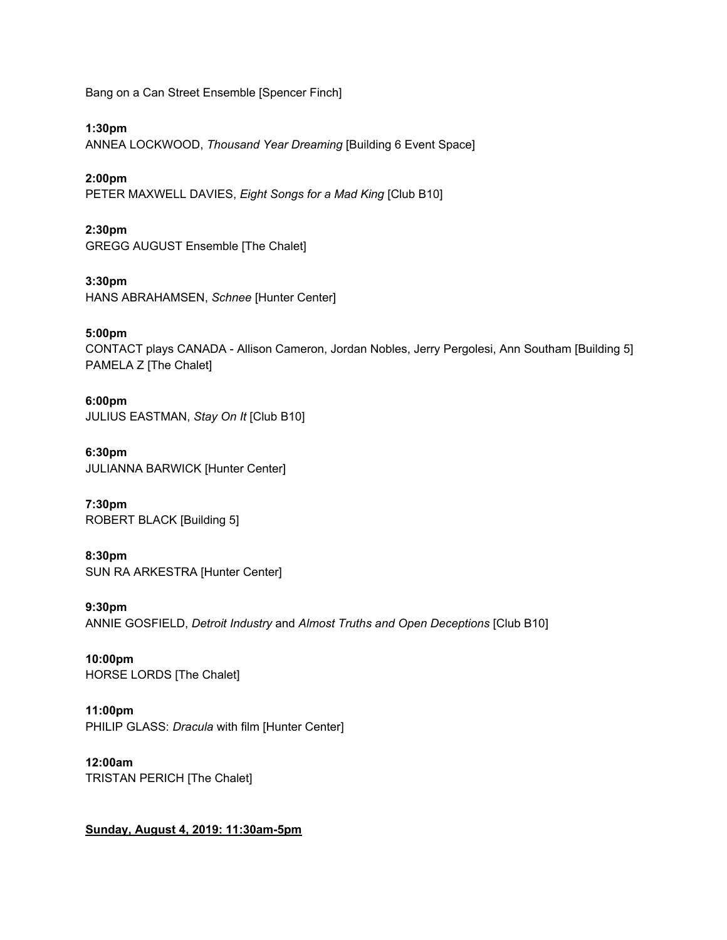Bang on a Can Street Ensemble [Spencer Finch]

**1:30pm**

ANNEA LOCKWOOD, *Thousand Year Dreaming* [Building 6 Event Space]

**2:00pm**

PETER MAXWELL DAVIES, *Eight Songs for a Mad King* [Club B10]

**2:30pm** GREGG AUGUST Ensemble [The Chalet]

**3:30pm** HANS ABRAHAMSEN, *Schnee* [Hunter Center]

**5:00pm** CONTACT plays CANADA - Allison Cameron, Jordan Nobles, Jerry Pergolesi, Ann Southam [Building 5] PAMELA Z [The Chalet]

**6:00pm** JULIUS EASTMAN, *Stay On It* [Club B10]

**6:30pm** JULIANNA BARWICK [Hunter Center]

**7:30pm** ROBERT BLACK [Building 5]

**8:30pm** SUN RA ARKESTRA [Hunter Center]

**9:30pm** ANNIE GOSFIELD, *Detroit Industry* and *Almost Truths and Open Deceptions* [Club B10]

**10:00pm** HORSE LORDS [The Chalet]

**11:00pm** PHILIP GLASS: *Dracula* with film [Hunter Center]

**12:00am** TRISTAN PERICH [The Chalet]

#### **Sunday, August 4, 2019: 11:30am-5pm**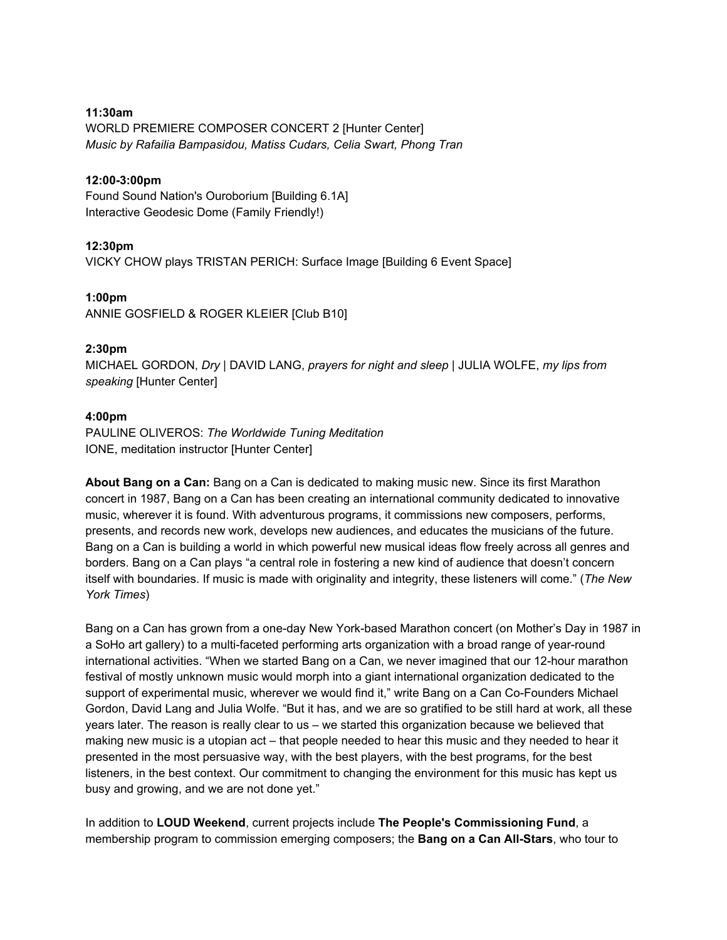#### **11:30am**

WORLD PREMIERE COMPOSER CONCERT 2 [Hunter Center] *Music by Rafailia Bampasidou, Matiss Cudars, Celia Swart, Phong Tran*

#### **12:00-3:00pm**

Found Sound Nation's Ouroborium [Building 6.1A] Interactive Geodesic Dome (Family Friendly!)

#### **12:30pm**

VICKY CHOW plays TRISTAN PERICH: Surface Image [Building 6 Event Space]

#### **1:00pm**

ANNIE GOSFIELD & ROGER KLEIER [Club B10]

#### **2:30pm**

MICHAEL GORDON, *Dry* | DAVID LANG, *prayers for night and sleep* | JULIA WOLFE, *my lips from speaking* [Hunter Center]

#### **4:00pm**

PAULINE OLIVEROS: *The Worldwide Tuning Meditation* IONE, meditation instructor [Hunter Center]

**About Bang on a Can:** Bang on a Can is dedicated to making music new. Since its first Marathon concert in 1987, Bang on a Can has been creating an international community dedicated to innovative music, wherever it is found. With adventurous programs, it commissions new composers, performs, presents, and records new work, develops new audiences, and educates the musicians of the future. Bang on a Can is building a world in which powerful new musical ideas flow freely across all genres and borders. Bang on a Can plays "a central role in fostering a new kind of audience that doesn't concern itself with boundaries. If music is made with originality and integrity, these listeners will come." (*The New York Times*)

Bang on a Can has grown from a one-day New York-based Marathon concert (on Mother's Day in 1987 in a SoHo art gallery) to a multi-faceted performing arts organization with a broad range of year-round international activities. "When we started Bang on a Can, we never imagined that our 12-hour marathon festival of mostly unknown music would morph into a giant international organization dedicated to the support of experimental music, wherever we would find it," write Bang on a Can Co-Founders Michael Gordon, David Lang and Julia Wolfe. "But it has, and we are so gratified to be still hard at work, all these years later. The reason is really clear to us – we started this organization because we believed that making new music is a utopian act – that people needed to hear this music and they needed to hear it presented in the most persuasive way, with the best players, with the best programs, for the best listeners, in the best context. Our commitment to changing the environment for this music has kept us busy and growing, and we are not done yet."

In addition to **LOUD Weekend**, current projects include **The People's Commissioning Fund**, a membership program to commission emerging composers; the **Bang on a Can All-Stars**, who tour to